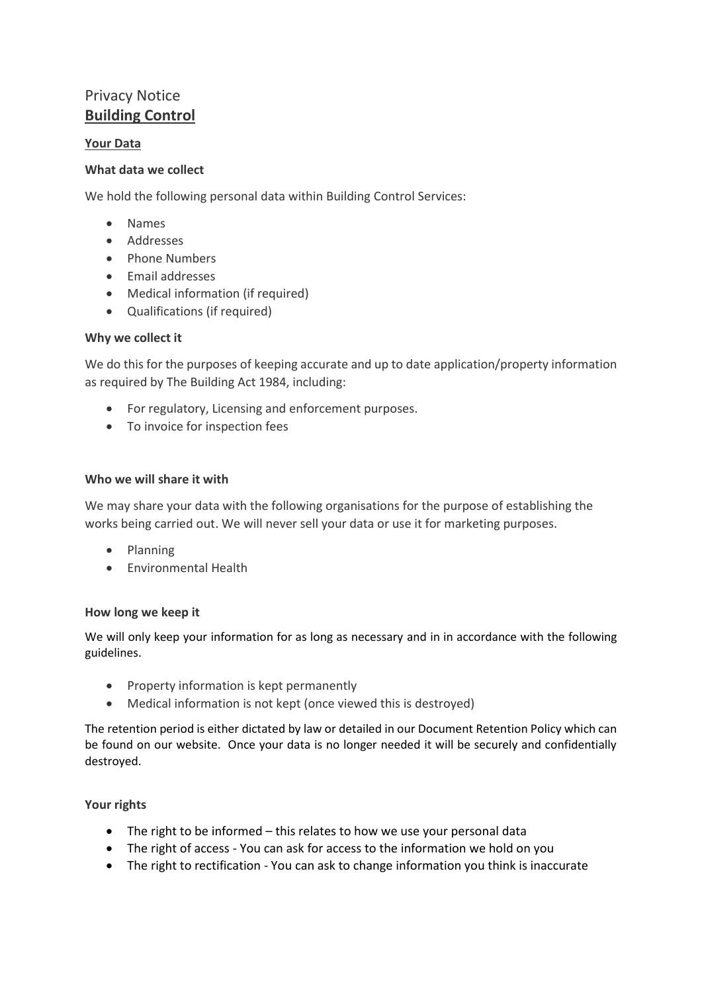# Privacy Notice **Building Control**

# **Your Data**

## **What data we collect**

We hold the following personal data within Building Control Services:

- Names
- Addresses
- Phone Numbers
- Email addresses
- Medical information (if required)
- Qualifications (if required)

## **Why we collect it**

We do this for the purposes of keeping accurate and up to date application/property information as required by The Building Act 1984, including:

- For regulatory, Licensing and enforcement purposes.
- To invoice for inspection fees

## **Who we will share it with**

We may share your data with the following organisations for the purpose of establishing the works being carried out. We will never sell your data or use it for marketing purposes.

- Planning
- Environmental Health

## **How long we keep it**

We will only keep your information for as long as necessary and in in accordance with the following guidelines.

- Property information is kept permanently
- Medical information is not kept (once viewed this is destroyed)

The retention period is either dictated by law or detailed in our Document Retention Policy which can be found on our website. Once your data is no longer needed it will be securely and confidentially destroyed.

## **Your rights**

- The right to be informed this relates to how we use your personal data
- The right of access You can ask for access to the information we hold on you
- The right to rectification You can ask to change information you think is inaccurate